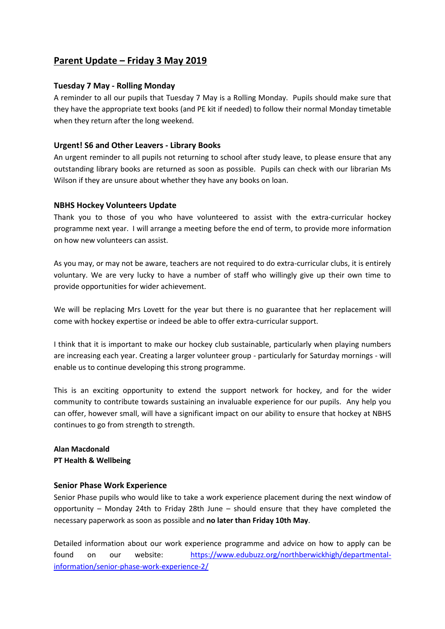# **Parent Update – Friday 3 May 2019**

### **Tuesday 7 May - Rolling Monday**

A reminder to all our pupils that Tuesday 7 May is a Rolling Monday. Pupils should make sure that they have the appropriate text books (and PE kit if needed) to follow their normal Monday timetable when they return after the long weekend.

#### **Urgent! S6 and Other Leavers - Library Books**

An urgent reminder to all pupils not returning to school after study leave, to please ensure that any outstanding library books are returned as soon as possible. Pupils can check with our librarian Ms Wilson if they are unsure about whether they have any books on loan.

#### **NBHS Hockey Volunteers Update**

Thank you to those of you who have volunteered to assist with the extra-curricular hockey programme next year. I will arrange a meeting before the end of term, to provide more information on how new volunteers can assist.

As you may, or may not be aware, teachers are not required to do extra-curricular clubs, it is entirely voluntary. We are very lucky to have a number of staff who willingly give up their own time to provide opportunities for wider achievement.

We will be replacing Mrs Lovett for the year but there is no guarantee that her replacement will come with hockey expertise or indeed be able to offer extra-curricular support.

I think that it is important to make our hockey club sustainable, particularly when playing numbers are increasing each year. Creating a larger volunteer group - particularly for Saturday mornings - will enable us to continue developing this strong programme.

This is an exciting opportunity to extend the support network for hockey, and for the wider community to contribute towards sustaining an invaluable experience for our pupils. Any help you can offer, however small, will have a significant impact on our ability to ensure that hockey at NBHS continues to go from strength to strength.

## **Alan Macdonald PT Health & Wellbeing**

#### **Senior Phase Work Experience**

Senior Phase pupils who would like to take a work experience placement during the next window of opportunity – Monday 24th to Friday 28th June – should ensure that they have completed the necessary paperwork as soon as possible and **no later than Friday 10th May**.

Detailed information about our work experience programme and advice on how to apply can be found on our website: [https://www.edubuzz.org/northberwickhigh/departmental](https://www.edubuzz.org/northberwickhigh/departmental-information/senior-phase-work-experience-2/)[information/senior-phase-work-experience-2/](https://www.edubuzz.org/northberwickhigh/departmental-information/senior-phase-work-experience-2/)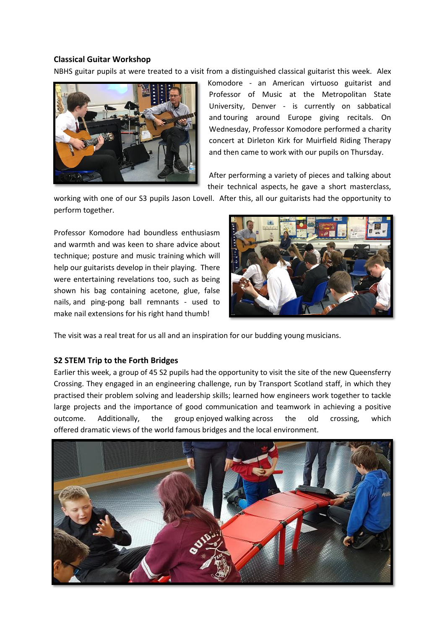#### **Classical Guitar Workshop**

NBHS guitar pupils at were treated to a visit from a distinguished classical guitarist this week. Alex



Komodore - an American virtuoso guitarist and Professor of Music at the Metropolitan State University, Denver - is currently on sabbatical and touring around Europe giving recitals. On Wednesday, Professor Komodore performed a charity concert at Dirleton Kirk for Muirfield Riding Therapy and then came to work with our pupils on Thursday.

After performing a variety of pieces and talking about their technical aspects, he gave a short masterclass,

working with one of our S3 pupils Jason Lovell. After this, all our guitarists had the opportunity to perform together.

Professor Komodore had boundless enthusiasm and warmth and was keen to share advice about technique; posture and music training which will help our guitarists develop in their playing. There were entertaining revelations too, such as being shown his bag containing acetone, glue, false nails, and ping-pong ball remnants - used to make nail extensions for his right hand thumb!



The visit was a real treat for us all and an inspiration for our budding young musicians.

#### **S2 STEM Trip to the Forth Bridges**

Earlier this week, a group of 45 S2 pupils had the opportunity to visit the site of the new Queensferry Crossing. They engaged in an engineering challenge, run by Transport Scotland staff, in which they practised their problem solving and leadership skills; learned how engineers work together to tackle large projects and the importance of good communication and teamwork in achieving a positive outcome. Additionally, the group enjoyed walking across the old crossing, which offered dramatic views of the world famous bridges and the local environment.